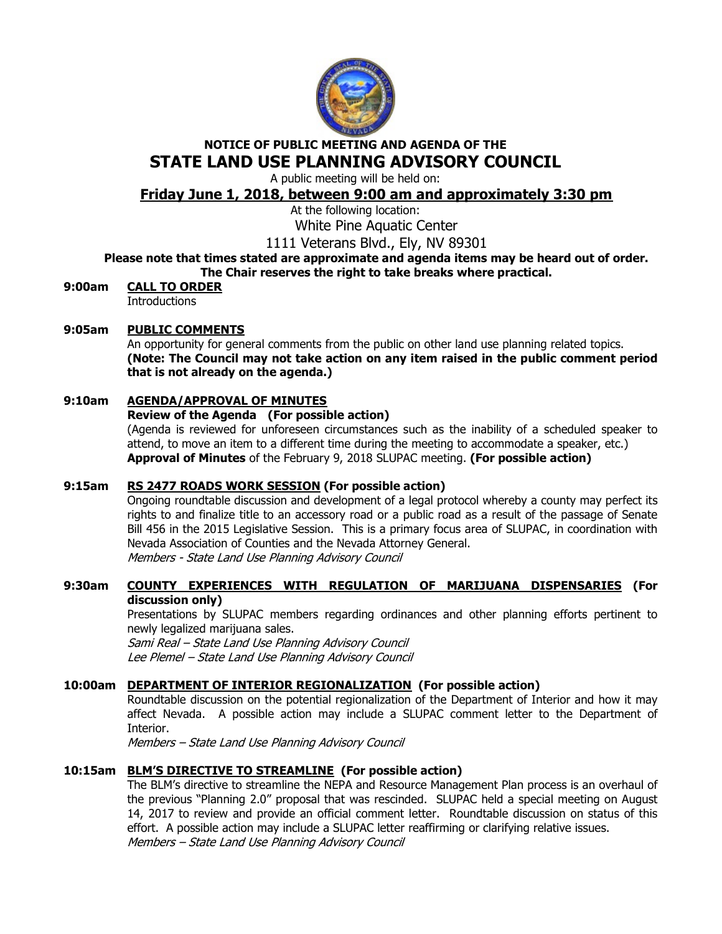

# NOTICE OF PUBLIC MEETING AND AGENDA OF THE STATE LAND USE PLANNING ADVISORY COUNCIL

A public meeting will be held on:

# Friday June 1, 2018, between 9:00 am and approximately 3:30 pm

At the following location:

White Pine Aquatic Center

1111 Veterans Blvd., Ely, NV 89301

Please note that times stated are approximate and agenda items may be heard out of order. The Chair reserves the right to take breaks where practical.

9:00am CALL TO ORDER

**Introductions** 

## 9:05am PUBLIC COMMENTS

An opportunity for general comments from the public on other land use planning related topics. (Note: The Council may not take action on any item raised in the public comment period that is not already on the agenda.)

# 9:10am AGENDA/APPROVAL OF MINUTES

## Review of the Agenda (For possible action)

(Agenda is reviewed for unforeseen circumstances such as the inability of a scheduled speaker to attend, to move an item to a different time during the meeting to accommodate a speaker, etc.) Approval of Minutes of the February 9, 2018 SLUPAC meeting. (For possible action)

# 9:15am RS 2477 ROADS WORK SESSION (For possible action)

 Ongoing roundtable discussion and development of a legal protocol whereby a county may perfect its rights to and finalize title to an accessory road or a public road as a result of the passage of Senate Bill 456 in the 2015 Legislative Session. This is a primary focus area of SLUPAC, in coordination with Nevada Association of Counties and the Nevada Attorney General. Members - State Land Use Planning Advisory Council

9:30am COUNTY EXPERIENCES WITH REGULATION OF MARIJUANA DISPENSARIES (For discussion only)

# Presentations by SLUPAC members regarding ordinances and other planning efforts pertinent to newly legalized marijuana sales.

Sami Real – State Land Use Planning Advisory Council Lee Plemel – State Land Use Planning Advisory Council

## 10:00am DEPARTMENT OF INTERIOR REGIONALIZATION (For possible action)

Roundtable discussion on the potential regionalization of the Department of Interior and how it may affect Nevada. A possible action may include a SLUPAC comment letter to the Department of Interior.

Members – State Land Use Planning Advisory Council

# 10:15am BLM'S DIRECTIVE TO STREAMLINE (For possible action)

The BLM's directive to streamline the NEPA and Resource Management Plan process is an overhaul of the previous "Planning 2.0" proposal that was rescinded. SLUPAC held a special meeting on August 14, 2017 to review and provide an official comment letter. Roundtable discussion on status of this effort. A possible action may include a SLUPAC letter reaffirming or clarifying relative issues. Members – State Land Use Planning Advisory Council